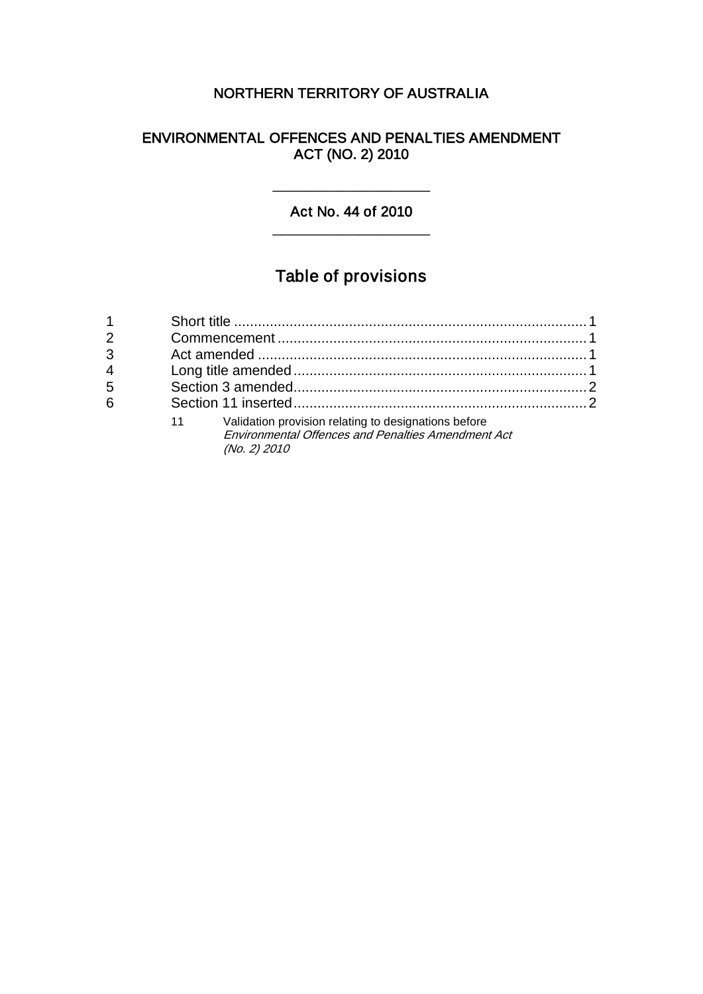# NORTHERN TERRITORY OF AUSTRALIA

# ENVIRONMENTAL OFFENCES AND PENALTIES AMENDMENT ACT (NO. 2) 2010

# Act No. 44 of 2010 \_\_\_\_\_\_\_\_\_\_\_\_\_\_\_\_\_\_\_\_

\_\_\_\_\_\_\_\_\_\_\_\_\_\_\_\_\_\_\_\_

# Table of provisions

| 2              |                                                                                                                                         |  |
|----------------|-----------------------------------------------------------------------------------------------------------------------------------------|--|
| 3              |                                                                                                                                         |  |
| $\overline{4}$ |                                                                                                                                         |  |
| 5              |                                                                                                                                         |  |
| 6              |                                                                                                                                         |  |
|                | Validation provision relating to designations before<br>11<br><b>Environmental Offences and Penalties Amendment Act</b><br>(No. 2) 2010 |  |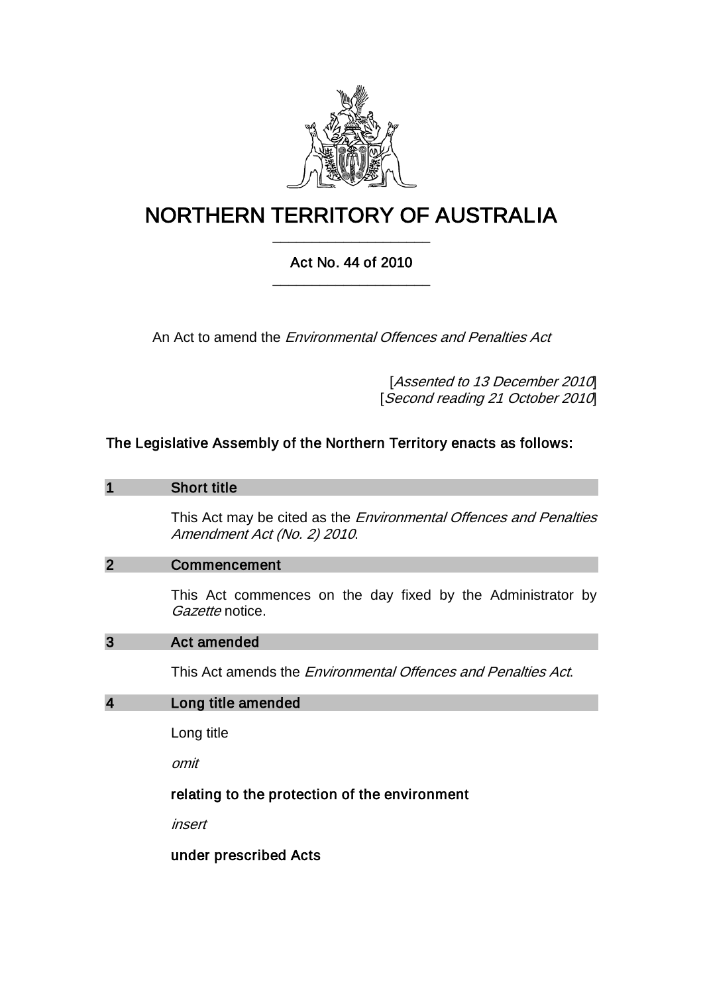

# NORTHERN TERRITORY OF AUSTRALIA \_\_\_\_\_\_\_\_\_\_\_\_\_\_\_\_\_\_\_\_

# Act No. 44 of 2010 \_\_\_\_\_\_\_\_\_\_\_\_\_\_\_\_\_\_\_\_

An Act to amend the *Environmental Offences and Penalties Act* 

[Assented to 13 December 2010] [Second reading 21 October 2010]

# The Legislative Assembly of the Northern Territory enacts as follows:

#### 1 Short title

This Act may be cited as the *Environmental Offences and Penalties* Amendment Act (No. 2) 2010.

#### 2 Commencement

This Act commences on the day fixed by the Administrator by Gazette notice.

## 3 Act amended

This Act amends the Environmental Offences and Penalties Act.

#### 4 Long title amended

Long title

omit

## relating to the protection of the environment

insert

under prescribed Acts